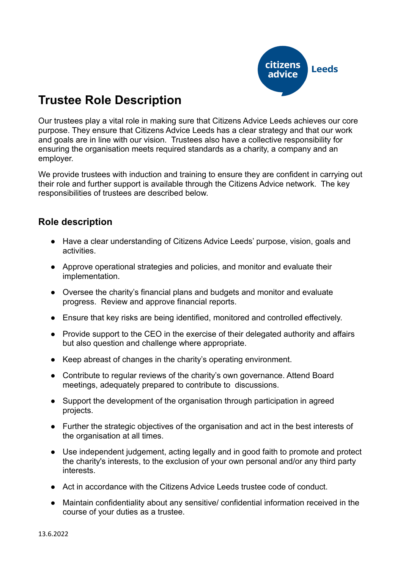

# **Trustee Role Description**

Our trustees play a vital role in making sure that Citizens Advice Leeds achieves our core purpose. They ensure that Citizens Advice Leeds has a clear strategy and that our work and goals are in line with our vision. Trustees also have a collective responsibility for ensuring the organisation meets required standards as a charity, a company and an employer.

We provide trustees with induction and training to ensure they are confident in carrying out their role and further support is available through the Citizens Advice network. The key responsibilities of trustees are described below.

## **Role description**

- Have a clear understanding of Citizens Advice Leeds' purpose, vision, goals and activities.
- Approve operational strategies and policies, and monitor and evaluate their implementation.
- Oversee the charity's financial plans and budgets and monitor and evaluate progress. Review and approve financial reports.
- Ensure that key risks are being identified, monitored and controlled effectively.
- Provide support to the CEO in the exercise of their delegated authority and affairs but also question and challenge where appropriate.
- Keep abreast of changes in the charity's operating environment.
- Contribute to regular reviews of the charity's own governance. Attend Board meetings, adequately prepared to contribute to discussions.
- Support the development of the organisation through participation in agreed projects.
- Further the strategic objectives of the organisation and act in the best interests of the organisation at all times.
- Use independent judgement, acting legally and in good faith to promote and protect the charity's interests, to the exclusion of your own personal and/or any third party interests.
- Act in accordance with the Citizens Advice Leeds trustee code of conduct.
- Maintain confidentiality about any sensitive/ confidential information received in the course of your duties as a trustee.